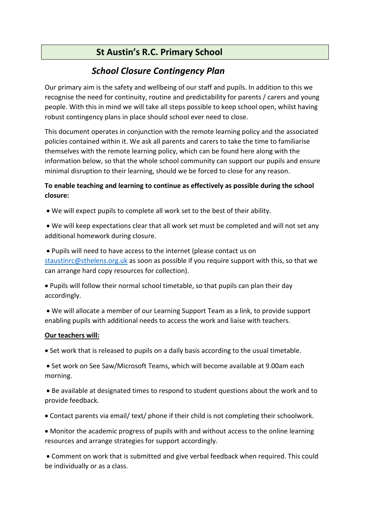# **St Austin's R.C. Primary School**

# *School Closure Contingency Plan*

Our primary aim is the safety and wellbeing of our staff and pupils. In addition to this we recognise the need for continuity, routine and predictability for parents / carers and young people. With this in mind we will take all steps possible to keep school open, whilst having robust contingency plans in place should school ever need to close.

This document operates in conjunction with the remote learning policy and the associated policies contained within it. We ask all parents and carers to take the time to familiarise themselves with the remote learning policy, which can be found here along with the information below, so that the whole school community can support our pupils and ensure minimal disruption to their learning, should we be forced to close for any reason.

# **To enable teaching and learning to continue as effectively as possible during the school closure:**

• We will expect pupils to complete all work set to the best of their ability.

• We will keep expectations clear that all work set must be completed and will not set any additional homework during closure.

• Pupils will need to have access to the internet (please contact us on

[staustinrc@sthelens.org.uk](mailto:staustinrc@sthelens.org.uk) as soon as possible if you require support with this, so that we can arrange hard copy resources for collection).

• Pupils will follow their normal school timetable, so that pupils can plan their day accordingly.

• We will allocate a member of our Learning Support Team as a link, to provide support enabling pupils with additional needs to access the work and liaise with teachers.

## **Our teachers will:**

• Set work that is released to pupils on a daily basis according to the usual timetable.

• Set work on See Saw/Microsoft Teams, which will become available at 9.00am each morning.

• Be available at designated times to respond to student questions about the work and to provide feedback.

• Contact parents via email/ text/ phone if their child is not completing their schoolwork.

• Monitor the academic progress of pupils with and without access to the online learning resources and arrange strategies for support accordingly.

• Comment on work that is submitted and give verbal feedback when required. This could be individually or as a class.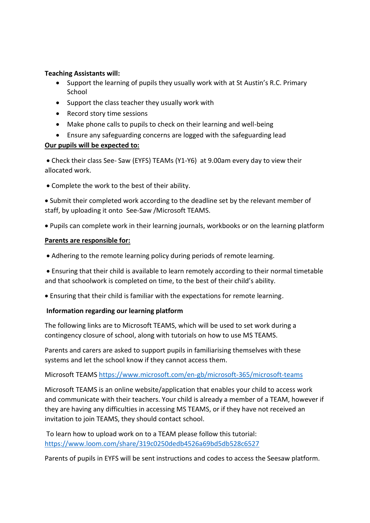#### **Teaching Assistants will:**

- Support the learning of pupils they usually work with at St Austin's R.C. Primary School
- Support the class teacher they usually work with
- Record story time sessions
- Make phone calls to pupils to check on their learning and well-being
- Ensure any safeguarding concerns are logged with the safeguarding lead

## **Our pupils will be expected to:**

• Check their class See- Saw (EYFS) TEAMs (Y1-Y6) at 9.00am every day to view their allocated work.

• Complete the work to the best of their ability.

• Submit their completed work according to the deadline set by the relevant member of staff, by uploading it onto See-Saw /Microsoft TEAMS.

• Pupils can complete work in their learning journals, workbooks or on the learning platform

#### **Parents are responsible for:**

• Adhering to the remote learning policy during periods of remote learning.

• Ensuring that their child is available to learn remotely according to their normal timetable and that schoolwork is completed on time, to the best of their child's ability.

• Ensuring that their child is familiar with the expectations for remote learning.

## **Information regarding our learning platform**

The following links are to Microsoft TEAMS, which will be used to set work during a contingency closure of school, along with tutorials on how to use MS TEAMS.

Parents and carers are asked to support pupils in familiarising themselves with these systems and let the school know if they cannot access them.

Microsoft TEAMS<https://www.microsoft.com/en-gb/microsoft-365/microsoft-teams>

Microsoft TEAMS is an online website/application that enables your child to access work and communicate with their teachers. Your child is already a member of a TEAM, however if they are having any difficulties in accessing MS TEAMS, or if they have not received an invitation to join TEAMS, they should contact school.

To learn how to upload work on to a TEAM please follow this tutorial: <https://www.loom.com/share/319c0250dedb4526a69bd5db528c6527>

Parents of pupils in EYFS will be sent instructions and codes to access the Seesaw platform.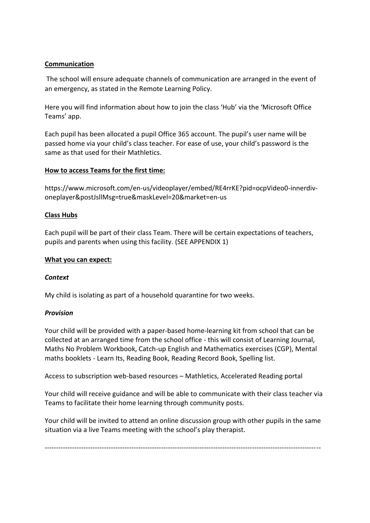# **Communication**

The school will ensure adequate channels of communication are arranged in the event of an emergency, as stated in the Remote Learning Policy.

Here you will find information about how to join the class 'Hub' via the 'Microsoft Office Teams' app.

Each pupil has been allocated a pupil Office 365 account. The pupil's user name will be passed home via your child's class teacher. For ease of use, your child's password is the same as that used for their Mathletics.

#### **How to access Teams for the first time:**

https://www.microsoft.com/en-us/videoplayer/embed/RE4rrKE?pid=ocpVideo0-innerdivoneplayer&postJsllMsg=true&maskLevel=20&market=en-us

#### **Class Hubs**

Each pupil will be part of their class Team. There will be certain expectations of teachers, pupils and parents when using this facility. (SEE APPENDIX 1)

#### **What you can expect:**

#### *Context*

My child is isolating as part of a household quarantine for two weeks.

#### *Provision*

Your child will be provided with a paper-based home-learning kit from school that can be collected at an arranged time from the school office - this will consist of Learning Journal, Maths No Problem Workbook, Catch-up English and Mathematics exercises (CGP), Mental maths booklets - Learn Its, Reading Book, Reading Record Book, Spelling list.

Access to subscription web-based resources – Mathletics, Accelerated Reading portal

Your child will receive guidance and will be able to communicate with their class teacher via Teams to facilitate their home learning through community posts.

Your child will be invited to attend an online discussion group with other pupils in the same situation via a live Teams meeting with the school's play therapist.

-------------------------------------------------------------------------------------------------------------------------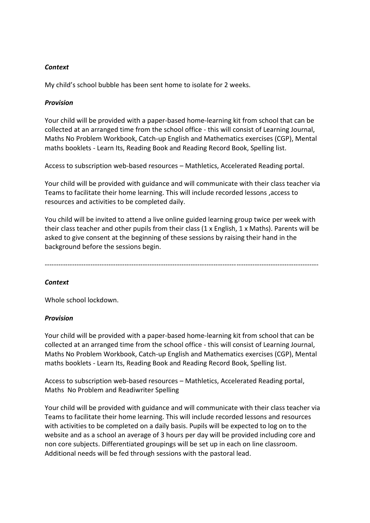#### *Context*

My child's school bubble has been sent home to isolate for 2 weeks.

#### *Provision*

Your child will be provided with a paper-based home-learning kit from school that can be collected at an arranged time from the school office - this will consist of Learning Journal, Maths No Problem Workbook, Catch-up English and Mathematics exercises (CGP), Mental maths booklets - Learn Its, Reading Book and Reading Record Book, Spelling list.

Access to subscription web-based resources – Mathletics, Accelerated Reading portal.

Your child will be provided with guidance and will communicate with their class teacher via Teams to facilitate their home learning. This will include recorded lessons ,access to resources and activities to be completed daily.

You child will be invited to attend a live online guided learning group twice per week with their class teacher and other pupils from their class (1 x English, 1 x Maths). Parents will be asked to give consent at the beginning of these sessions by raising their hand in the background before the sessions begin.

------------------------------------------------------------------------------------------------------------------------

## *Context*

Whole school lockdown.

#### *Provision*

Your child will be provided with a paper-based home-learning kit from school that can be collected at an arranged time from the school office - this will consist of Learning Journal, Maths No Problem Workbook, Catch-up English and Mathematics exercises (CGP), Mental maths booklets - Learn Its, Reading Book and Reading Record Book, Spelling list.

Access to subscription web-based resources – Mathletics, Accelerated Reading portal, Maths No Problem and Readiwriter Spelling

Your child will be provided with guidance and will communicate with their class teacher via Teams to facilitate their home learning. This will include recorded lessons and resources with activities to be completed on a daily basis. Pupils will be expected to log on to the website and as a school an average of 3 hours per day will be provided including core and non core subjects. Differentiated groupings will be set up in each on line classroom. Additional needs will be fed through sessions with the pastoral lead.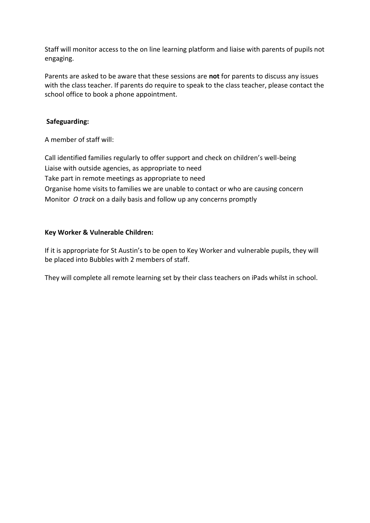Staff will monitor access to the on line learning platform and liaise with parents of pupils not engaging.

Parents are asked to be aware that these sessions are **not** for parents to discuss any issues with the class teacher. If parents do require to speak to the class teacher, please contact the school office to book a phone appointment.

### **Safeguarding:**

A member of staff will:

Call identified families regularly to offer support and check on children's well-being Liaise with outside agencies, as appropriate to need Take part in remote meetings as appropriate to need Organise home visits to families we are unable to contact or who are causing concern Monitor *O track* on a daily basis and follow up any concerns promptly

#### **Key Worker & Vulnerable Children:**

If it is appropriate for St Austin's to be open to Key Worker and vulnerable pupils, they will be placed into Bubbles with 2 members of staff.

They will complete all remote learning set by their class teachers on iPads whilst in school.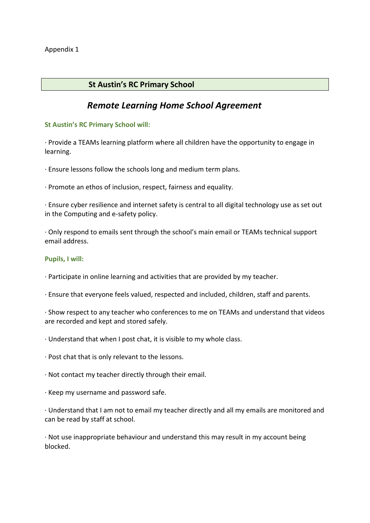# **St Austin's RC Primary School**

# *Remote Learning Home School Agreement*

#### **St Austin's RC Primary School will:**

· Provide a TEAMs learning platform where all children have the opportunity to engage in learning.

· Ensure lessons follow the schools long and medium term plans.

· Promote an ethos of inclusion, respect, fairness and equality.

· Ensure cyber resilience and internet safety is central to all digital technology use as set out in the Computing and e-safety policy.

· Only respond to emails sent through the school's main email or TEAMs technical support email address.

#### **Pupils, I will:**

· Participate in online learning and activities that are provided by my teacher.

· Ensure that everyone feels valued, respected and included, children, staff and parents.

· Show respect to any teacher who conferences to me on TEAMs and understand that videos are recorded and kept and stored safely.

· Understand that when I post chat, it is visible to my whole class.

· Post chat that is only relevant to the lessons.

· Not contact my teacher directly through their email.

· Keep my username and password safe.

· Understand that I am not to email my teacher directly and all my emails are monitored and can be read by staff at school.

· Not use inappropriate behaviour and understand this may result in my account being blocked.